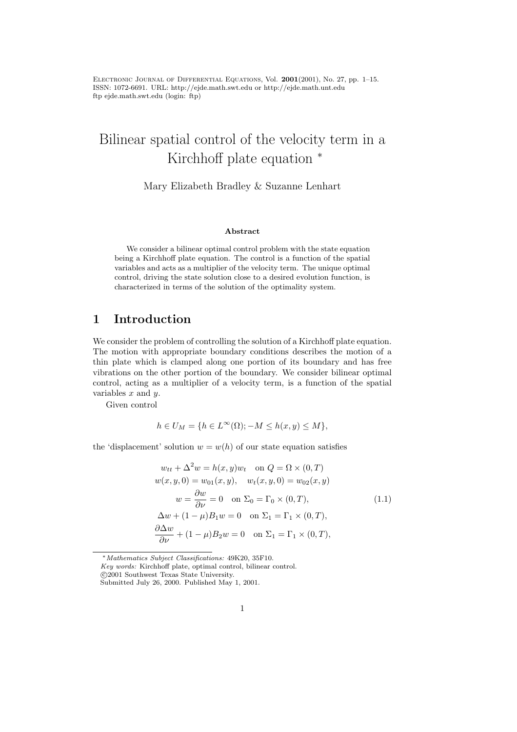Electronic Journal of Differential Equations, Vol. 2001(2001), No. 27, pp. 1–15. ISSN: 1072-6691. URL: http://ejde.math.swt.edu or http://ejde.math.unt.edu ftp ejde.math.swt.edu (login: ftp)

# Bilinear spatial control of the velocity term in a Kirchhoff plate equation <sup>∗</sup>

Mary Elizabeth Bradley & Suzanne Lenhart

#### Abstract

We consider a bilinear optimal control problem with the state equation being a Kirchhoff plate equation. The control is a function of the spatial variables and acts as a multiplier of the velocity term. The unique optimal control, driving the state solution close to a desired evolution function, is characterized in terms of the solution of the optimality system.

#### 1 Introduction

We consider the problem of controlling the solution of a Kirchhoff plate equation. The motion with appropriate boundary conditions describes the motion of a thin plate which is clamped along one portion of its boundary and has free vibrations on the other portion of the boundary. We consider bilinear optimal control, acting as a multiplier of a velocity term, is a function of the spatial variables  $x$  and  $y$ .

Given control

$$
h \in U_M = \{ h \in L^{\infty}(\Omega); -M \le h(x, y) \le M \},\
$$

the 'displacement' solution  $w = w(h)$  of our state equation satisfies

$$
w_{tt} + \Delta^2 w = h(x, y)w_t \quad \text{on } Q = \Omega \times (0, T)
$$
  
\n
$$
w(x, y, 0) = w_{01}(x, y), \quad w_t(x, y, 0) = w_{02}(x, y)
$$
  
\n
$$
w = \frac{\partial w}{\partial \nu} = 0 \quad \text{on } \Sigma_0 = \Gamma_0 \times (0, T),
$$
  
\n
$$
\Delta w + (1 - \mu)B_1 w = 0 \quad \text{on } \Sigma_1 = \Gamma_1 \times (0, T),
$$
  
\n
$$
\frac{\partial \Delta w}{\partial \nu} + (1 - \mu)B_2 w = 0 \quad \text{on } \Sigma_1 = \Gamma_1 \times (0, T),
$$
  
\n(1.1)

<sup>∗</sup>Mathematics Subject Classifications: 49K20, 35F10.

Key words: Kirchhoff plate, optimal control, bilinear control. c 2001 Southwest Texas State University.

Submitted July 26, 2000. Published May 1, 2001.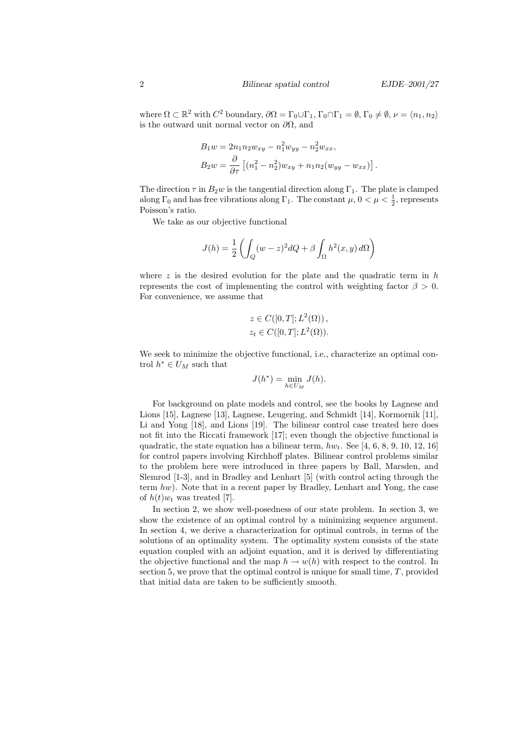where  $\Omega \subset \mathbb{R}^2$  with  $C^2$  boundary,  $\partial \Omega = \Gamma_0 \cup \Gamma_1$ ,  $\Gamma_0 \cap \Gamma_1 = \emptyset$ ,  $\Gamma_0 \neq \emptyset$ ,  $\nu = \langle n_1, n_2 \rangle$ is the outward unit normal vector on  $\partial\Omega$ , and

$$
B_1 w = 2n_1 n_2 w_{xy} - n_1^2 w_{yy} - n_2^2 w_{xx},
$$
  
\n
$$
B_2 w = \frac{\partial}{\partial \tau} \left[ (n_1^2 - n_2^2) w_{xy} + n_1 n_2 (w_{yy} - w_{xx}) \right].
$$

The direction  $\tau$  in  $B_2w$  is the tangential direction along  $\Gamma_1$ . The plate is clamped along  $\Gamma_0$  and has free vibrations along  $\Gamma_1$ . The constant  $\mu$ ,  $0 < \mu < \frac{1}{2}$ , represents Poisson's ratio.

We take as our objective functional

$$
J(h) = \frac{1}{2} \left( \int_Q (w - z)^2 dQ + \beta \int_{\Omega} h^2(x, y) d\Omega \right)
$$

where  $z$  is the desired evolution for the plate and the quadratic term in  $h$ represents the cost of implementing the control with weighting factor  $\beta > 0$ . For convenience, we assume that

$$
z \in C([0, T]; L^2(\Omega)),
$$
  

$$
z_t \in C([0, T]; L^2(\Omega)).
$$

We seek to minimize the objective functional, i.e., characterize an optimal control  $h^* \in U_M$  such that

$$
J(h^*) = \min_{h \in U_M} J(h).
$$

For background on plate models and control, see the books by Lagnese and Lions [15], Lagnese [13], Lagnese, Leugering, and Schmidt [14], Kormornik [11], Li and Yong [18], and Lions [19]. The bilinear control case treated here does not fit into the Riccati framework [17]; even though the objective functional is quadratic, the state equation has a bilinear term,  $hw_t$ . See [4, 6, 8, 9, 10, 12, 16] for control papers involving Kirchhoff plates. Bilinear control problems similar to the problem here were introduced in three papers by Ball, Marsden, and Slemrod [1-3], and in Bradley and Lenhart [5] (with control acting through the term hw). Note that in a recent paper by Bradley, Lenhart and Yong, the case of  $h(t)w_t$  was treated [7].

In section 2, we show well-posedness of our state problem. In section 3, we show the existence of an optimal control by a minimizing sequence argument. In section 4, we derive a characterization for optimal controls, in terms of the solutions of an optimality system. The optimality system consists of the state equation coupled with an adjoint equation, and it is derived by differentiating the objective functional and the map  $h \to w(h)$  with respect to the control. In section 5, we prove that the optimal control is unique for small time, T, provided that initial data are taken to be sufficiently smooth.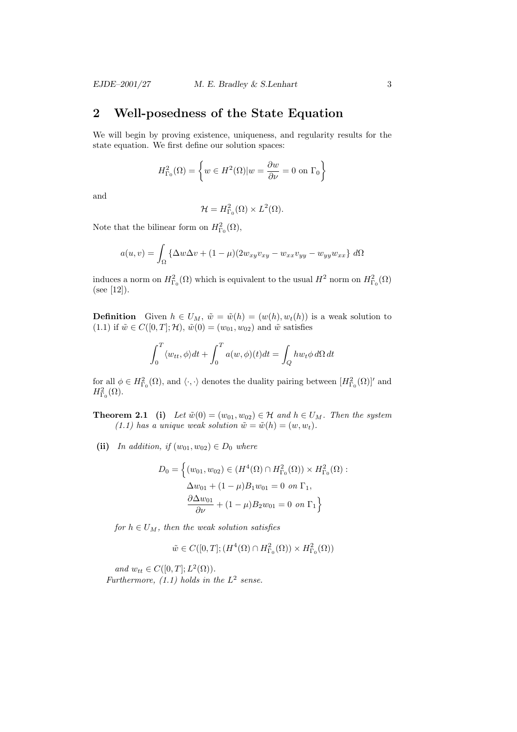### 2 Well-posedness of the State Equation

We will begin by proving existence, uniqueness, and regularity results for the state equation. We first define our solution spaces:

$$
H_{\Gamma_0}^2(\Omega) = \left\{ w \in H^2(\Omega) | w = \frac{\partial w}{\partial \nu} = 0 \text{ on } \Gamma_0 \right\}
$$

and

$$
\mathcal{H} = H_{\Gamma_0}^2(\Omega) \times L^2(\Omega).
$$

Note that the bilinear form on  $H_{\Gamma_0}^2(\Omega)$ ,

$$
a(u,v) = \int_{\Omega} \left\{ \Delta w \Delta v + (1 - \mu)(2w_{xy}v_{xy} - w_{xx}v_{yy} - w_{yy}w_{xx}) \right\} d\Omega
$$

induces a norm on  $H_{\Gamma_0}^2(\Omega)$  which is equivalent to the usual  $H^2$  norm on  $H_{\Gamma_0}^2(\Omega)$ (see [12]).

**Definition** Given  $h \in U_M$ ,  $\tilde{w} = \tilde{w}(h) = (w(h), w_t(h))$  is a weak solution to (1.1) if  $\tilde{w} \in C([0, T]; \mathcal{H})$ ,  $\tilde{w}(0) = (w_{01}, w_{02})$  and  $\tilde{w}$  satisfies

$$
\int_0^T \langle w_{tt}, \phi \rangle dt + \int_0^T a(w, \phi)(t) dt = \int_Q h w_t \phi d\Omega dt
$$

for all  $\phi \in H^2_{\Gamma_0}(\Omega)$ , and  $\langle \cdot, \cdot \rangle$  denotes the duality pairing between  $[H^2_{\Gamma_0}(\Omega)]'$  and  $H_{\Gamma_0}^2(\Omega)$ .

**Theorem 2.1** (i) Let  $\tilde{w}(0) = (w_{01}, w_{02}) \in \mathcal{H}$  and  $h \in U_M$ . Then the system (1.1) has a unique weak solution  $\tilde{w} = \tilde{w}(h) = (w, w_t)$ .

(ii) In addition, if  $(w_{01}, w_{02}) \in D_0$  where

$$
D_0 = \left\{ (w_{01}, w_{02}) \in (H^4(\Omega) \cap H^2_{\Gamma_0}(\Omega)) \times H^2_{\Gamma_0}(\Omega) : \Delta w_{01} + (1 - \mu) B_1 w_{01} = 0 \text{ on } \Gamma_1, \frac{\partial \Delta w_{01}}{\partial \nu} + (1 - \mu) B_2 w_{01} = 0 \text{ on } \Gamma_1 \right\}
$$

for  $h \in U_M$ , then the weak solution satisfies

$$
\tilde{w} \in C([0,T];(H^4(\Omega)\cap H^2_{\Gamma_0}(\Omega))\times H^2_{\Gamma_0}(\Omega))
$$

and  $w_{tt} \in C([0,T];L^2(\Omega))$ . Furthermore, (1.1) holds in the  $L^2$  sense.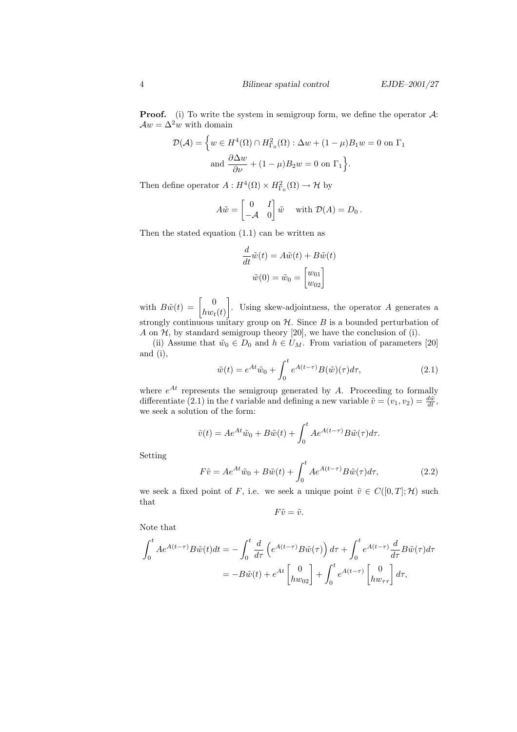**Proof.** (i) To write the system in semigroup form, we define the operator  $A$ :  $Aw = \Delta^2 w$  with domain

$$
\mathcal{D}(\mathcal{A}) = \left\{ w \in H^4(\Omega) \cap H^2_{\Gamma_0}(\Omega) : \Delta w + (1 - \mu) B_1 w = 0 \text{ on } \Gamma_1 \right\}
$$
  
and  $\frac{\partial \Delta w}{\partial \nu} + (1 - \mu) B_2 w = 0 \text{ on } \Gamma_1 \right\}.$ 

Then define operator  $A: H^4(\Omega) \times H^2_{\Gamma_0}(\Omega) \to \mathcal{H}$  by

$$
A\tilde{w} = \begin{bmatrix} 0 & I \\ -A & 0 \end{bmatrix} \tilde{w} \quad \text{with } \mathcal{D}(A) = D_0.
$$

Then the stated equation (1.1) can be written as

$$
\frac{d}{dt}\tilde{w}(t) = A\tilde{w}(t) + B\tilde{w}(t)
$$

$$
\tilde{w}(0) = \tilde{w}_0 = \begin{bmatrix} w_{01} \\ w_{02} \end{bmatrix}
$$

with  $B\tilde{w}(t) = \begin{bmatrix} 0 \\ k_{\text{av}} \end{bmatrix}$  $hw_t(t)$  . Using skew-adjointness, the operator A generates a strongly continuous unitary group on  $H$ . Since  $B$  is a bounded perturbation of A on  $H$ , by standard semigroup theory [20], we have the conclusion of (i).

(ii) Assume that  $\tilde{w}_0 \in D_0$  and  $h \in U_M$ . From variation of parameters [20] and (i),

$$
\tilde{w}(t) = e^{At}\tilde{w}_0 + \int_0^t e^{A(t-\tau)}B(\tilde{w})(\tau)d\tau,
$$
\n(2.1)

where  $e^{At}$  represents the semigroup generated by A. Proceeding to formally differentiate (2.1) in the t variable and defining a new variable  $\tilde{v} = (v_1, v_2) = \frac{d\tilde{w}}{dt}$ , we seek a solution of the form:

$$
\tilde{v}(t) = Ae^{At}\tilde{w}_0 + B\tilde{w}(t) + \int_0^t Ae^{A(t-\tau)}B\tilde{w}(\tau)d\tau.
$$

Setting

$$
F\tilde{v} = Ae^{At}\tilde{w}_0 + B\tilde{w}(t) + \int_0^t Ae^{A(t-\tau)}B\tilde{w}(\tau)d\tau,
$$
\n(2.2)

we seek a fixed point of F, i.e. we seek a unique point  $\tilde{v} \in C([0, T]; \mathcal{H})$  such that

$$
F\tilde{v}=\tilde{v}.
$$

Note that

$$
\int_0^t Ae^{A(t-\tau)}B\tilde{w}(t)dt = -\int_0^t \frac{d}{d\tau} \left(e^{A(t-\tau)}B\tilde{w}(\tau)\right)d\tau + \int_0^t e^{A(t-\tau)}\frac{d}{d\tau}B\tilde{w}(\tau)d\tau
$$

$$
= -B\tilde{w}(t) + e^{At}\begin{bmatrix} 0\\hw_{02} \end{bmatrix} + \int_0^t e^{A(t-\tau)}\begin{bmatrix} 0\\hw_{\tau\tau} \end{bmatrix}d\tau,
$$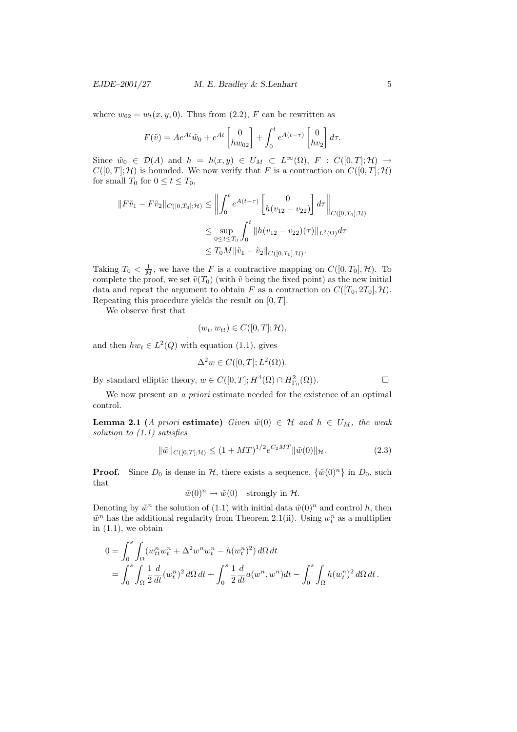where  $w_{02} = w_t(x, y, 0)$ . Thus from (2.2), F can be rewritten as

$$
F(\tilde{v}) = Ae^{At}\tilde{w}_0 + e^{At} \begin{bmatrix} 0 \\ hw_{02} \end{bmatrix} + \int_0^t e^{A(t-\tau)} \begin{bmatrix} 0 \\ hv_2 \end{bmatrix} d\tau.
$$

Since  $\tilde{w}_0 \in \mathcal{D}(A)$  and  $h = h(x, y) \in U_M \subset L^{\infty}(\Omega), F : C([0, T]; \mathcal{H}) \to$  $C([0,T];\mathcal{H})$  is bounded. We now verify that F is a contraction on  $C([0,T];\mathcal{H})$ for small  $T_0$  for  $0 \le t \le T_0$ ,

$$
||F\tilde{v}_1 - F\tilde{v}_2||_{C([0,T_0];\mathcal{H})} \leq \left\| \int_0^t e^{A(t-\tau)} \begin{bmatrix} 0 \\ h(v_{12} - v_{22}) \end{bmatrix} d\tau \right\|_{C([0,T_0];\mathcal{H})}
$$
  

$$
\leq \sup_{0 \leq t \leq T_0} \int_0^t ||h(v_{12} - v_{22})(\tau)||_{L^2(\Omega)} d\tau
$$
  

$$
\leq T_0 M ||\tilde{v}_1 - \tilde{v}_2||_{C([0,T_0];\mathcal{H})}.
$$

Taking  $T_0 < \frac{1}{M}$ , we have the F is a contractive mapping on  $C([0, T_0], \mathcal{H})$ . To complete the proof, we set  $\tilde{v}(T_0)$  (with  $\tilde{v}$  being the fixed point) as the new initial data and repeat the argument to obtain F as a contraction on  $C([T_0, 2T_0], \mathcal{H})$ . Repeating this procedure yields the result on  $[0, T]$ .

We observe first that

$$
(w_t, w_{tt}) \in C([0, T]; \mathcal{H}),
$$

and then  $hw_t \in L^2(Q)$  with equation (1.1), gives

$$
\Delta^2 w \in C([0, T]; L^2(\Omega)).
$$

By standard elliptic theory,  $w \in C([0,T]; H^4(\Omega) \cap H^2_{\Gamma_0}(\Omega)).$ 

We now present an *a priori* estimate needed for the existence of an optimal control.

**Lemma 2.1** (A priori estimate) Given  $\tilde{w}(0) \in \mathcal{H}$  and  $h \in U_M$ , the weak solution to (1.1) satisfies

$$
\|\tilde{w}\|_{C([0,T];\mathcal{H})} \le (1+MT)^{1/2} e^{C_2MT} \|\tilde{w}(0)\|_{\mathcal{H}}.
$$
\n(2.3)

**Proof.** Since  $D_0$  is dense in  $H$ , there exists a sequence,  $\{\tilde{w}(0)^n\}$  in  $D_0$ , such that

$$
\tilde{w}(0)^n \to \tilde{w}(0) \quad \text{strongly in } \mathcal{H}.
$$

Denoting by  $\tilde{w}^n$  the solution of (1.1) with initial data  $\tilde{w}(0)^n$  and control h, then  $\tilde{w}^n$  has the additional regularity from Theorem 2.1(ii). Using  $w_t^n$  as a multiplier in  $(1.1)$ , we obtain

$$
0 = \int_0^s \int_{\Omega} (w_{tt}^n w_t^n + \Delta^2 w^n w_t^n - h(w_t^n)^2) d\Omega dt
$$
  
= 
$$
\int_0^s \int_{\Omega} \frac{1}{2} \frac{d}{dt} (w_t^n)^2 d\Omega dt + \int_0^s \frac{1}{2} \frac{d}{dt} a(w^n, w^n) dt - \int_0^s \int_{\Omega} h(w_t^n)^2 d\Omega dt.
$$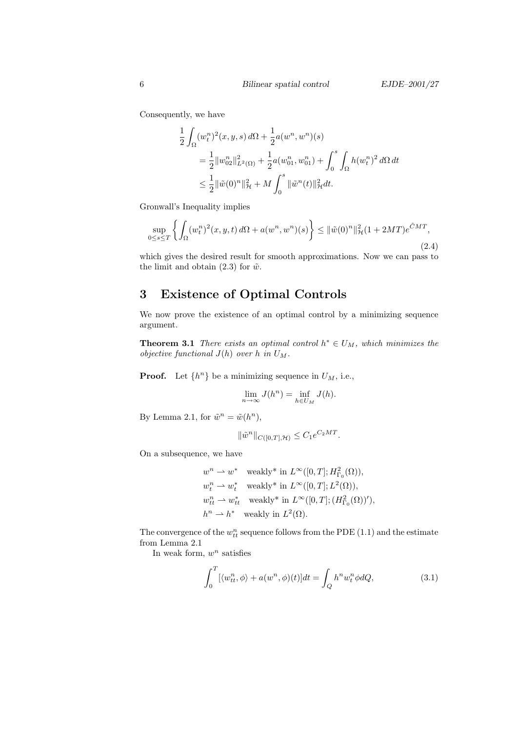Consequently, we have

$$
\frac{1}{2} \int_{\Omega} (w_t^n)^2(x, y, s) d\Omega + \frac{1}{2} a(w^n, w^n)(s)
$$
  
= 
$$
\frac{1}{2} ||w_{02}^n||_{L^2(\Omega)}^2 + \frac{1}{2} a(w_{01}^n, w_{01}^n) + \int_0^s \int_{\Omega} h(w_t^n)^2 d\Omega dt
$$
  

$$
\leq \frac{1}{2} ||\tilde{w}(0)^n||_{\mathcal{H}}^2 + M \int_0^s ||\tilde{w}^n(t)||_{\mathcal{H}}^2 dt.
$$

Gronwall's Inequality implies

$$
\sup_{0 \le s \le T} \left\{ \int_{\Omega} (w_t^n)^2(x, y, t) \, d\Omega + a(w^n, w^n)(s) \right\} \le \|\tilde{w}(0)^n\|_{\mathcal{H}}^2 (1 + 2MT) e^{\tilde{C}MT}, \tag{2.4}
$$

which gives the desired result for smooth approximations. Now we can pass to the limit and obtain (2.3) for  $\tilde{w}$ .

## 3 Existence of Optimal Controls

We now prove the existence of an optimal control by a minimizing sequence argument.

**Theorem 3.1** There exists an optimal control  $h^* \in U_M$ , which minimizes the objective functional  $J(h)$  over h in  $U_M$ .

**Proof.** Let  $\{h^n\}$  be a minimizing sequence in  $U_M$ , i.e.,

$$
\lim_{n \to \infty} J(h^n) = \inf_{h \in U_M} J(h).
$$

By Lemma 2.1, for  $\tilde{w}^n = \tilde{w}(h^n)$ ,

$$
\|\tilde{w}^n\|_{C([0,T],\mathcal{H})} \leq C_1 e^{C_2 MT}.
$$

On a subsequence, we have

$$
w^n \rightharpoonup w^*
$$
 weakly\* in  $L^{\infty}([0, T]; H^2_{\Gamma_0}(\Omega)),$   
\n
$$
w_t^n \rightharpoonup w_t^*
$$
 weakly\* in  $L^{\infty}([0, T]; L^2(\Omega)),$   
\n
$$
w_{tt}^n \rightharpoonup w_{tt}^*
$$
 weakly\* in  $L^{\infty}([0, T]; (H^2_{\Gamma_0}(\Omega))')$ ,  
\n
$$
h^n \rightharpoonup h^*
$$
 weakly in  $L^2(\Omega)$ .

The convergence of the  $w_{tt}^n$  sequence follows from the PDE (1.1) and the estimate from Lemma 2.1

In weak form,  $w^n$  satisfies

$$
\int_0^T [\langle w_{tt}^n, \phi \rangle + a(w^n, \phi)(t)] dt = \int_Q h^n w_t^n \phi dQ, \tag{3.1}
$$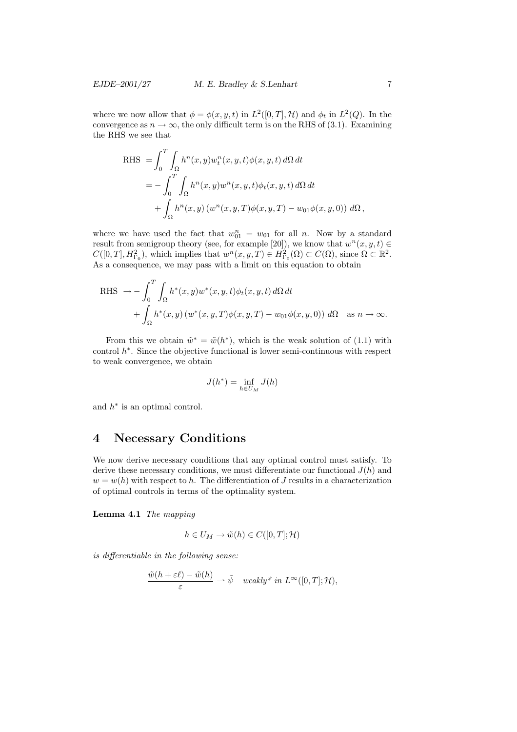where we now allow that  $\phi = \phi(x, y, t)$  in  $L^2([0, T], \mathcal{H})$  and  $\phi_t$  in  $L^2(Q)$ . In the convergence as  $n \to \infty$ , the only difficult term is on the RHS of (3.1). Examining the RHS we see that

RHS = 
$$
\int_0^T \int_{\Omega} h^n(x, y) w_t^n(x, y, t) \phi(x, y, t) d\Omega dt
$$
  
= 
$$
- \int_0^T \int_{\Omega} h^n(x, y) w^n(x, y, t) \phi_t(x, y, t) d\Omega dt
$$
  
+ 
$$
\int_{\Omega} h^n(x, y) (w^n(x, y, T) \phi(x, y, T) - w_{01} \phi(x, y, 0)) d\Omega,
$$

where we have used the fact that  $w_{01}^n = w_{01}$  for all n. Now by a standard result from semigroup theory (see, for example [20]), we know that  $w^{n}(x, y, t) \in$  $C([0,T], H^2_{\Gamma_0})$ , which implies that  $w^n(x, y, T) \in H^2_{\Gamma_0}(\Omega) \subset C(\Omega)$ , since  $\Omega \subset \mathbb{R}^2$ . As a consequence, we may pass with a limit on this equation to obtain

RHS 
$$
\rightarrow -\int_0^T \int_{\Omega} h^*(x, y) w^*(x, y, t) \phi_t(x, y, t) d\Omega dt
$$
  
+  $\int_{\Omega} h^*(x, y) (w^*(x, y, T) \phi(x, y, T) - w_{01} \phi(x, y, 0)) d\Omega$  as  $n \rightarrow \infty$ .

From this we obtain  $\tilde{w}^* = \tilde{w}(h^*)$ , which is the weak solution of (1.1) with control  $h^*$ . Since the objective functional is lower semi-continuous with respect to weak convergence, we obtain

$$
J(h^*) = \inf_{h \in U_M} J(h)
$$

and  $h^*$  is an optimal control.

### 4 Necessary Conditions

We now derive necessary conditions that any optimal control must satisfy. To derive these necessary conditions, we must differentiate our functional  $J(h)$  and  $w = w(h)$  with respect to h. The differentiation of J results in a characterization of optimal controls in terms of the optimality system.

Lemma 4.1 The mapping

$$
h \in U_M \to \tilde{w}(h) \in C([0,T]; \mathcal{H})
$$

is differentiable in the following sense:

$$
\frac{\tilde{w}(h+\varepsilon\ell)-\tilde{w}(h)}{\varepsilon} \rightharpoonup \tilde{\psi} \quad weakly^* \ in \ L^{\infty}([0,T];\mathcal{H}),
$$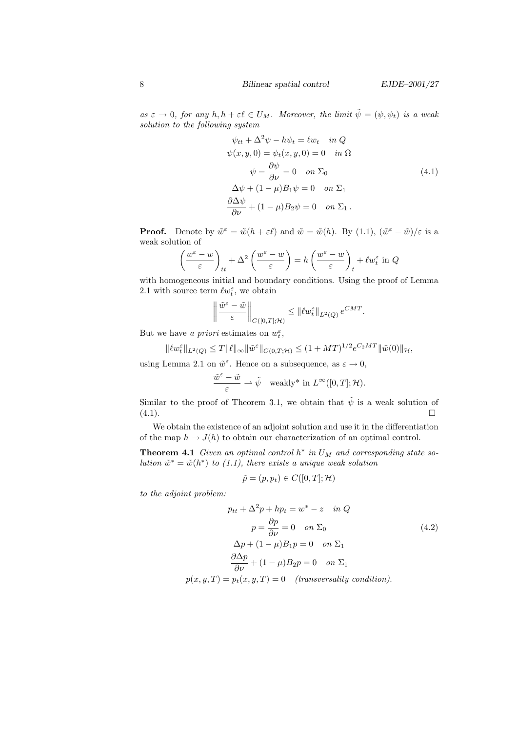as  $\varepsilon \to 0$ , for any  $h, h + \varepsilon \ell \in U_M$ . Moreover, the limit  $\tilde{\psi} = (\psi, \psi_t)$  is a weak solution to the following system

$$
\psi_{tt} + \Delta^2 \psi - h\psi_t = \ell w_t \quad in \ Q
$$
  

$$
\psi(x, y, 0) = \psi_t(x, y, 0) = 0 \quad in \ \Omega
$$
  

$$
\psi = \frac{\partial \psi}{\partial \nu} = 0 \quad on \ \Sigma_0
$$
  

$$
\Delta \psi + (1 - \mu)B_1 \psi = 0 \quad on \ \Sigma_1
$$
  

$$
\frac{\partial \Delta \psi}{\partial \nu} + (1 - \mu)B_2 \psi = 0 \quad on \ \Sigma_1.
$$
 (4.1)

**Proof.** Denote by  $\tilde{w}^{\varepsilon} = \tilde{w}(h + \varepsilon \ell)$  and  $\tilde{w} = \tilde{w}(h)$ . By (1.1),  $(\tilde{w}^{\varepsilon} - \tilde{w})/\varepsilon$  is a weak solution of

$$
\left(\frac{w^{\varepsilon}-w}{\varepsilon}\right)_{tt} + \Delta^2 \left(\frac{w^{\varepsilon}-w}{\varepsilon}\right) = h \left(\frac{w^{\varepsilon}-w}{\varepsilon}\right)_{t} + \ell w_t^{\varepsilon} \text{ in } Q
$$

with homogeneous initial and boundary conditions. Using the proof of Lemma 2.1 with source term  $\ell w_t^{\varepsilon}$ , we obtain

$$
\left\|\frac{\tilde{w}^{\varepsilon}-\tilde{w}}{\varepsilon}\right\|_{C([0,T];\mathcal{H})}\leq\left\|\ell w_t^{\varepsilon}\right\|_{L^2(Q)}e^{CMT}.
$$

But we have a *priori* estimates on  $w_t^{\varepsilon}$ ,

$$
\|\ell w_t^{\varepsilon}\|_{L^2(Q)} \le T \|\ell\|_{\infty} \|\tilde{w}^{\varepsilon}\|_{C(0,T;\mathcal{H})} \le (1+MT)^{1/2} e^{C_2MT} \|\tilde{w}(0)\|_{\mathcal{H}},
$$

using Lemma 2.1 on  $\tilde{w}^{\varepsilon}$ . Hence on a subsequence, as  $\varepsilon \to 0$ ,

$$
\frac{\tilde{w}^{\varepsilon}-\tilde{w}}{\varepsilon} \rightharpoonup \tilde{\psi} \quad \text{weakly* in } L^{\infty}([0,T]; \mathcal{H}).
$$

Similar to the proof of Theorem 3.1, we obtain that  $\tilde{\psi}$  is a weak solution of  $(4.1).$ 

We obtain the existence of an adjoint solution and use it in the differentiation of the map  $h \to J(h)$  to obtain our characterization of an optimal control.

**Theorem 4.1** Given an optimal control  $h^*$  in  $U_M$  and corresponding state solution  $\tilde{w}^* = \tilde{w}(h^*)$  to (1.1), there exists a unique weak solution

$$
\tilde{p} = (p, p_t) \in C([0, T]; \mathcal{H})
$$

to the adjoint problem:

$$
p_{tt} + \Delta^2 p + hp_t = w^* - z \quad in \ Q
$$

$$
p = \frac{\partial p}{\partial \nu} = 0 \quad on \ \Sigma_0
$$

$$
\Delta p + (1 - \mu)B_1 p = 0 \quad on \ \Sigma_1
$$

$$
\frac{\partial \Delta p}{\partial \nu} + (1 - \mu)B_2 p = 0 \quad on \ \Sigma_1
$$

$$
p(x, y, T) = p_t(x, y, T) = 0 \quad (transversality condition).
$$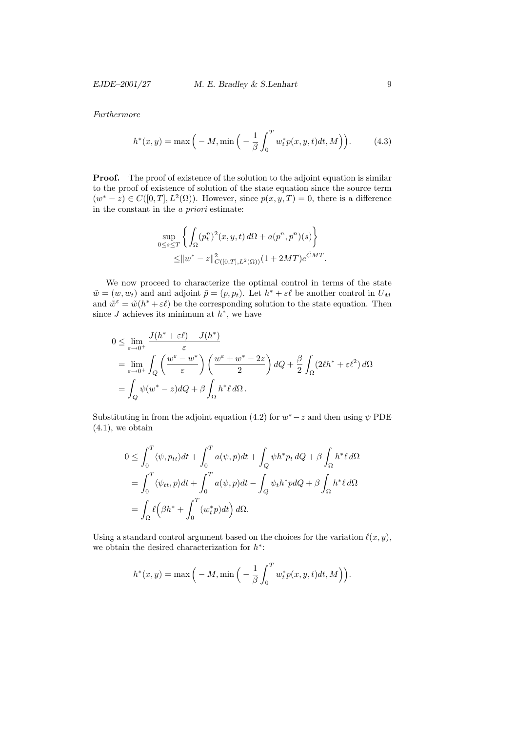EJDE–2001/27 M. E. Bradley  $\&$  S. Lenhart 9

Furthermore

$$
h^*(x,y) = \max\left(-M, \min\left(-\frac{1}{\beta} \int_0^T w_t^* p(x,y,t) dt, M\right)\right).
$$
 (4.3)

**Proof.** The proof of existence of the solution to the adjoint equation is similar to the proof of existence of solution of the state equation since the source term  $(w^* - z) \in C([0, T], L^2(\Omega))$ . However, since  $p(x, y, T) = 0$ , there is a difference in the constant in the a priori estimate:

$$
\sup_{0 \le s \le T} \left\{ \int_{\Omega} (p_t^n)^2(x, y, t) d\Omega + a(p^n, p^n)(s) \right\}
$$
  
 
$$
\le ||w^* - z||^2_{C([0, T], L^2(\Omega))} (1 + 2MT)e^{\tilde{C}MT}.
$$

We now proceed to characterize the optimal control in terms of the state  $\tilde{w} = (w, w_t)$  and and adjoint  $\tilde{p} = (p, p_t)$ . Let  $h^* + \varepsilon \ell$  be another control in  $U_M$ and  $\tilde{w}^{\varepsilon} = \tilde{w}(h^* + \varepsilon \ell)$  be the corresponding solution to the state equation. Then since  $J$  achieves its minimum at  $h^*$ , we have

$$
0 \leq \lim_{\varepsilon \to 0^+} \frac{J(h^* + \varepsilon \ell) - J(h^*)}{\varepsilon}
$$
  
= 
$$
\lim_{\varepsilon \to 0^+} \int_Q \left( \frac{w^\varepsilon - w^*}{\varepsilon} \right) \left( \frac{w^\varepsilon + w^* - 2z}{2} \right) dQ + \frac{\beta}{2} \int_\Omega (2\ell h^* + \varepsilon \ell^2) d\Omega
$$
  
= 
$$
\int_Q \psi(w^* - z) dQ + \beta \int_\Omega h^* \ell d\Omega.
$$

Substituting in from the adjoint equation (4.2) for  $w^*$  – z and then using  $\psi$  PDE  $(4.1)$ , we obtain

$$
0 \leq \int_0^T \langle \psi, p_{tt} \rangle dt + \int_0^T a(\psi, p) dt + \int_Q \psi h^* p_t dQ + \beta \int_{\Omega} h^* \ell d\Omega
$$
  
= 
$$
\int_0^T \langle \psi_{tt}, p \rangle dt + \int_0^T a(\psi, p) dt - \int_Q \psi_t h^* p dQ + \beta \int_{\Omega} h^* \ell d\Omega
$$
  
= 
$$
\int_{\Omega} \ell \Big( \beta h^* + \int_0^T (w_t^* p) dt \Big) d\Omega.
$$

Using a standard control argument based on the choices for the variation  $\ell(x, y)$ , we obtain the desired characterization for  $h^*$ :

$$
h^*(x,y) = \max\Big(-M, \min\Big(-\frac{1}{\beta}\int_0^T w_t^* p(x,y,t)dt, M\Big)\Big).
$$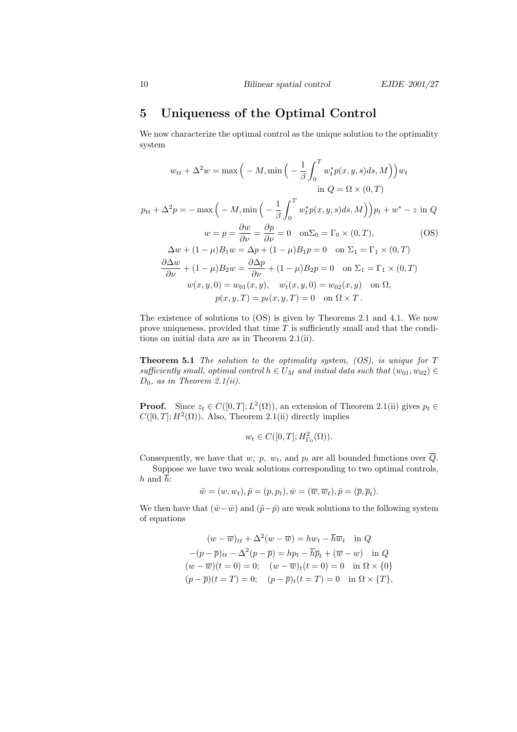# 5 Uniqueness of the Optimal Control

We now characterize the optimal control as the unique solution to the optimality system

$$
w_{tt} + \Delta^2 w = \max\left(-M, \min\left(-\frac{1}{\beta} \int_0^T w_t^* p(x, y, s) ds, M\right)\right) w_t
$$
  
\n
$$
\text{in } Q = \Omega \times (0, T)
$$
  
\n
$$
p_{tt} + \Delta^2 p = -\max\left(-M, \min\left(-\frac{1}{\beta} \int_0^T w_t^* p(x, y, s) ds, M\right)\right) p_t + w^* - z \text{ in } Q
$$
  
\n
$$
w = p = \frac{\partial w}{\partial \nu} = \frac{\partial p}{\partial \nu} = 0 \quad \text{on } \Sigma_0 = \Gamma_0 \times (0, T),
$$
  
\n
$$
\Delta w + (1 - \mu) B_1 w = \Delta p + (1 - \mu) B_1 p = 0 \quad \text{on } \Sigma_1 = \Gamma_1 \times (0, T)
$$
  
\n
$$
\frac{\partial \Delta w}{\partial \nu} + (1 - \mu) B_2 w = \frac{\partial \Delta p}{\partial \nu} + (1 - \mu) B_2 p = 0 \quad \text{on } \Sigma_1 = \Gamma_1 \times (0, T)
$$
  
\n
$$
w(x, y, 0) = w_{01}(x, y), \quad w_t(x, y, 0) = w_{02}(x, y) \quad \text{on } \Omega,
$$
  
\n
$$
p(x, y, T) = p_t(x, y, T) = 0 \quad \text{on } \Omega \times T.
$$

The existence of solutions to (OS) is given by Theorems 2.1 and 4.1. We now prove uniqueness, provided that time  $T$  is sufficiently small and that the conditions on initial data are as in Theorem 2.1(ii).

**Theorem 5.1** The solution to the optimality system,  $OS$ ), is unique for T sufficiently small, optimal control  $h \in U_M$  and initial data such that  $(w_{01}, w_{02}) \in$  $D_0$ , as in Theorem 2.1(ii).

**Proof.** Since  $z_t \in C([0, T]; L^2(\Omega))$ , an extension of Theorem 2.1(ii) gives  $p_t \in$  $C([0,T]; H^2(\Omega))$ . Also, Theorem 2.1(ii) directly implies

$$
w_t \in C([0,T];H^2_{\Gamma_0}(\Omega)).
$$

Consequently, we have that w, p,  $w_t$ , and  $p_t$  are all bounded functions over  $\overline{Q}$ .

Suppose we have two weak solutions corresponding to two optimal controls, h and  $\overline{h}$ :

$$
\tilde{w} = (w, w_t), \tilde{p} = (p, p_t), \hat{w} = (\overline{w}, \overline{w}_t), \hat{p} = (\overline{p}, \overline{p}_t).
$$

We then have that  $(\tilde{w}-\hat{w})$  and  $(\tilde{p}-\hat{p})$  are weak solutions to the following system of equations

$$
(w - \overline{w})_{tt} + \Delta^2 (w - \overline{w}) = hw_t - \overline{h}\overline{w}_t \quad \text{in } Q
$$

$$
-(p - \overline{p})_{tt} - \Delta^2 (p - \overline{p}) = hp_t - \overline{h}\overline{p}_t + (\overline{w} - w) \quad \text{in } Q
$$

$$
(w - \overline{w})(t = 0) = 0; \quad (w - \overline{w})_t (t = 0) = 0 \quad \text{in } \Omega \times \{0\}
$$

$$
(p - \overline{p})(t = T) = 0; \quad (p - \overline{p})_t (t = T) = 0 \quad \text{in } \Omega \times \{T\},
$$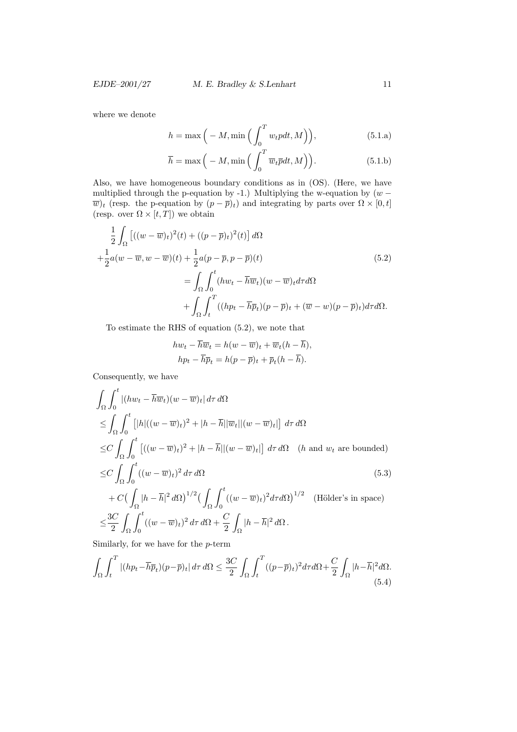where we denote

$$
h = \max\Big(-M, \min\Big(\int_0^T w_t p dt, M\Big)\Big),\tag{5.1.a}
$$

$$
\overline{h} = \max\left(-M, \min\left(\int_0^T \overline{w}_t \overline{p} dt, M\right)\right).
$$
 (5.1.b)

Also, we have homogeneous boundary conditions as in (OS). (Here, we have multiplied through the p-equation by -1.) Multiplying the w-equation by  $(w \overline{w}_t$  (resp. the p-equation by  $(p - \overline{p})_t$ ) and integrating by parts over  $\Omega \times [0, t]$ (resp. over  $\Omega \times [t, T]$ ) we obtain

$$
\frac{1}{2} \int_{\Omega} \left[ ((w - \overline{w})_t)^2(t) + ((p - \overline{p})_t)^2(t) \right] d\Omega
$$
\n
$$
+ \frac{1}{2} a (w - \overline{w}, w - \overline{w})(t) + \frac{1}{2} a (p - \overline{p}, p - \overline{p})(t)
$$
\n
$$
= \int_{\Omega} \int_0^t (hw_t - \overline{h} \overline{w}_t)(w - \overline{w})_t d\tau d\Omega
$$
\n
$$
+ \int_{\Omega} \int_t^T ((hp_t - \overline{h} \overline{p}_t)(p - \overline{p})_t + (\overline{w} - w)(p - \overline{p})_t) d\tau d\Omega.
$$
\n(5.2)

To estimate the RHS of equation (5.2), we note that

$$
hw_t - \overline{h}\overline{w}_t = h(w - \overline{w})_t + \overline{w}_t(h - \overline{h}),
$$
  

$$
hp_t - \overline{h}\overline{p}_t = h(p - \overline{p})_t + \overline{p}_t(h - \overline{h}).
$$

Consequently, we have

$$
\int_{\Omega} \int_{0}^{t} |(hw_t - \overline{h}\overline{w}_t)(w - \overline{w})_t| d\tau d\Omega
$$
\n
$$
\leq \int_{\Omega} \int_{0}^{t} [|h|((w - \overline{w})_t)^2 + |h - \overline{h}||\overline{w}_t||(w - \overline{w})_t]| d\tau d\Omega
$$
\n
$$
\leq C \int_{\Omega} \int_{0}^{t} [(w - \overline{w})_t)^2 + |h - \overline{h}||(w - \overline{w})_t]| d\tau d\Omega \quad (h \text{ and } w_t \text{ are bounded})
$$
\n
$$
\leq C \int_{\Omega} \int_{0}^{t} ((w - \overline{w})_t)^2 d\tau d\Omega \qquad (5.3)
$$
\n
$$
+ C \Big( \int_{\Omega} |h - \overline{h}|^2 d\Omega \Big)^{1/2} \Big( \int_{\Omega} \int_{0}^{t} ((w - \overline{w})_t)^2 d\tau d\Omega \Big)^{1/2} \quad \text{(Hölder's in space)}
$$
\n
$$
\leq \frac{3C}{2} \int_{\Omega} \int_{0}^{t} ((w - \overline{w})_t)^2 d\tau d\Omega + \frac{C}{2} \int_{\Omega} |h - \overline{h}|^2 d\Omega.
$$

Similarly, for we have for the p-term

$$
\int_{\Omega} \int_{t}^{T} |(hp_t - \overline{h}\overline{p}_t)(p - \overline{p})_t| d\tau d\Omega \le \frac{3C}{2} \int_{\Omega} \int_{t}^{T} ((p - \overline{p})_t)^2 d\tau d\Omega + \frac{C}{2} \int_{\Omega} |h - \overline{h}|^2 d\Omega. \tag{5.4}
$$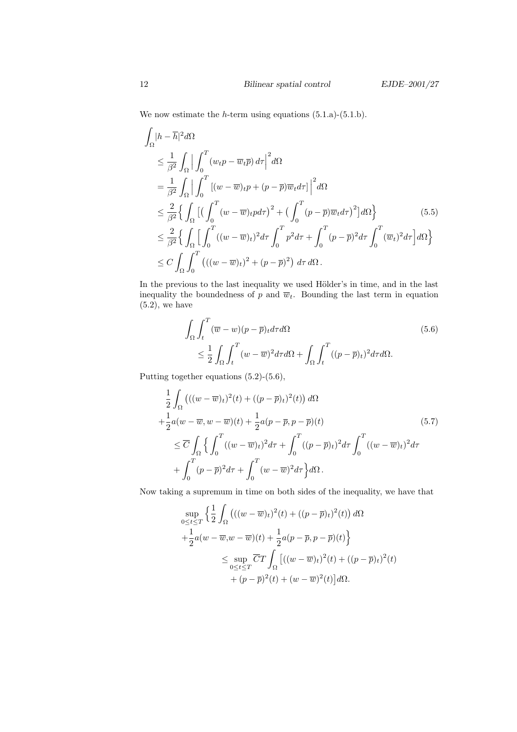We now estimate the  $h$ -term using equations  $(5.1.a)-(5.1.b).$ 

$$
\int_{\Omega} |h - \overline{h}|^2 d\Omega
$$
\n
$$
\leq \frac{1}{\beta^2} \int_{\Omega} \left| \int_0^T (w_t p - \overline{w}_t \overline{p}) d\tau \right|^2 d\Omega
$$
\n
$$
= \frac{1}{\beta^2} \int_{\Omega} \left| \int_0^T \left[ (w - \overline{w})_t p + (p - \overline{p}) \overline{w}_t d\tau \right] \right|^2 d\Omega
$$
\n
$$
\leq \frac{2}{\beta^2} \left\{ \int_{\Omega} \left[ \left( \int_0^T (w - \overline{w})_t p d\tau \right)^2 + \left( \int_0^T (p - \overline{p}) \overline{w}_t d\tau \right)^2 \right] d\Omega \right\}
$$
\n
$$
\leq \frac{2}{\beta^2} \left\{ \int_{\Omega} \left[ \int_0^T ((w - \overline{w})_t)^2 d\tau \int_0^T p^2 d\tau + \int_0^T (p - \overline{p})^2 d\tau \int_0^T (\overline{w}_t)^2 d\tau \right] d\Omega \right\}
$$
\n
$$
\leq C \int_{\Omega} \int_0^T \left( ((w - \overline{w})_t)^2 + (p - \overline{p})^2 \right) d\tau d\Omega.
$$
\n(10.10)

In the previous to the last inequality we used Hölder's in time, and in the last inequality the boundedness of p and  $\overline{w}_t$ . Bounding the last term in equation  $(5.2)$ , we have

$$
\int_{\Omega} \int_{t}^{T} (\overline{w} - w)(p - \overline{p})_{t} d\tau d\Omega
$$
\n
$$
\leq \frac{1}{2} \int_{\Omega} \int_{t}^{T} (w - \overline{w})^{2} d\tau d\Omega + \int_{\Omega} \int_{t}^{T} ((p - \overline{p})_{t})^{2} d\tau d\Omega.
$$
\n(5.6)

Putting together equations (5.2)-(5.6),

$$
\frac{1}{2} \int_{\Omega} \left( ((w - \overline{w})_t)^2(t) + ((p - \overline{p})_t)^2(t) \right) d\Omega
$$
\n
$$
+ \frac{1}{2} a (w - \overline{w}, w - \overline{w})(t) + \frac{1}{2} a (p - \overline{p}, p - \overline{p})(t)
$$
\n
$$
\leq \overline{C} \int_{\Omega} \left\{ \int_0^T ((w - \overline{w})_t)^2 d\tau + \int_0^T ((p - \overline{p})_t)^2 d\tau \int_0^T ((w - \overline{w})_t)^2 d\tau \right\}
$$
\n
$$
+ \int_0^T (p - \overline{p})^2 d\tau + \int_0^T (w - \overline{w})^2 d\tau \right\} d\Omega.
$$
\n(5.7)

Now taking a supremum in time on both sides of the inequality, we have that

$$
\sup_{0 \le t \le T} \left\{ \frac{1}{2} \int_{\Omega} \left( ((w - \overline{w})_t)^2(t) + ((p - \overline{p})_t)^2(t) \right) d\Omega \right.\left. + \frac{1}{2} a (w - \overline{w}, w - \overline{w})(t) + \frac{1}{2} a (p - \overline{p}, p - \overline{p})(t) \right\}
$$
\n
$$
\le \sup_{0 \le t \le T} \overline{C} T \int_{\Omega} \left[ ((w - \overline{w})_t)^2(t) + ((p - \overline{p})_t)^2(t) + (p - \overline{p})^2(t) + (p - \overline{p})^2(t) + (w - \overline{w})^2(t) \right] d\Omega.
$$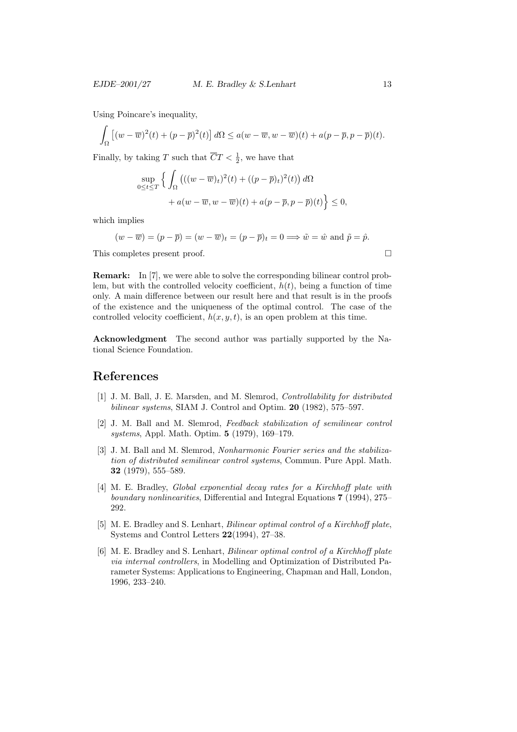Using Poincare's inequality,

$$
\int_{\Omega} \left[ (w - \overline{w})^2(t) + (p - \overline{p})^2(t) \right] d\Omega \le a(w - \overline{w}, w - \overline{w})(t) + a(p - \overline{p}, p - \overline{p})(t).
$$

Finally, by taking T such that  $\overline{C}T < \frac{1}{2}$ , we have that

$$
\sup_{0 \le t \le T} \left\{ \int_{\Omega} \left( ((w - \overline{w})_t)^2(t) + ((p - \overline{p})_t)^2(t) \right) d\Omega + a(w - \overline{w}, w - \overline{w})(t) + a(p - \overline{p}, p - \overline{p})(t) \right\} \le 0,
$$

which implies

$$
(w - \overline{w}) = (p - \overline{p}) = (w - \overline{w})_t = (p - \overline{p})_t = 0 \Longrightarrow \tilde{w} = \hat{w} \text{ and } \tilde{p} = \hat{p}.
$$

This completes present proof.

Remark: In [7], we were able to solve the corresponding bilinear control problem, but with the controlled velocity coefficient,  $h(t)$ , being a function of time only. A main difference between our result here and that result is in the proofs of the existence and the uniqueness of the optimal control. The case of the controlled velocity coefficient,  $h(x, y, t)$ , is an open problem at this time.

Acknowledgment The second author was partially supported by the National Science Foundation.

#### References

- [1] J. M. Ball, J. E. Marsden, and M. Slemrod, Controllability for distributed bilinear systems, SIAM J. Control and Optim. 20 (1982), 575–597.
- [2] J. M. Ball and M. Slemrod, Feedback stabilization of semilinear control systems, Appl. Math. Optim. 5 (1979), 169–179.
- [3] J. M. Ball and M. Slemrod, Nonharmonic Fourier series and the stabilization of distributed semilinear control systems, Commun. Pure Appl. Math. 32 (1979), 555–589.
- [4] M. E. Bradley, Global exponential decay rates for a Kirchhoff plate with boundary nonlinearities, Differential and Integral Equations 7 (1994), 275– 292.
- [5] M. E. Bradley and S. Lenhart, Bilinear optimal control of a Kirchhoff plate, Systems and Control Letters 22(1994), 27–38.
- [6] M. E. Bradley and S. Lenhart, Bilinear optimal control of a Kirchhoff plate via internal controllers, in Modelling and Optimization of Distributed Parameter Systems: Applications to Engineering, Chapman and Hall, London, 1996, 233–240.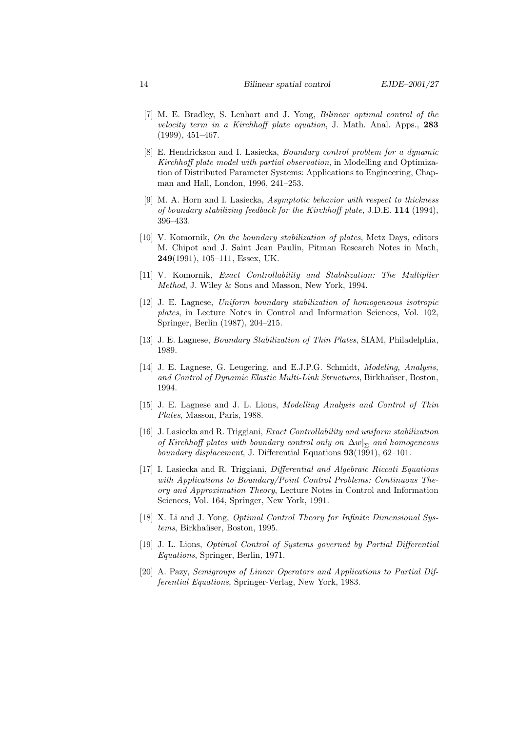- [7] M. E. Bradley, S. Lenhart and J. Yong, Bilinear optimal control of the velocity term in a Kirchhoff plate equation, J. Math. Anal. Apps., 283 (1999), 451–467.
- [8] E. Hendrickson and I. Lasiecka, Boundary control problem for a dynamic Kirchhoff plate model with partial observation, in Modelling and Optimization of Distributed Parameter Systems: Applications to Engineering, Chapman and Hall, London, 1996, 241–253.
- [9] M. A. Horn and I. Lasiecka, Asymptotic behavior with respect to thickness of boundary stabilizing feedback for the Kirchhoff plate, J.D.E. 114 (1994), 396–433.
- [10] V. Komornik, On the boundary stabilization of plates, Metz Days, editors M. Chipot and J. Saint Jean Paulin, Pitman Research Notes in Math, 249(1991), 105–111, Essex, UK.
- [11] V. Komornik, Exact Controllability and Stabilization: The Multiplier Method, J. Wiley & Sons and Masson, New York, 1994.
- [12] J. E. Lagnese, Uniform boundary stabilization of homogeneous isotropic plates, in Lecture Notes in Control and Information Sciences, Vol. 102, Springer, Berlin (1987), 204–215.
- [13] J. E. Lagnese, Boundary Stabilization of Thin Plates, SIAM, Philadelphia, 1989.
- [14] J. E. Lagnese, G. Leugering, and E.J.P.G. Schmidt, Modeling, Analysis, and Control of Dynamic Elastic Multi-Link Structures, Birkhaüser, Boston, 1994.
- [15] J. E. Lagnese and J. L. Lions, Modelling Analysis and Control of Thin Plates, Masson, Paris, 1988.
- [16] J. Lasiecka and R. Triggiani, *Exact Controllability and uniform stabilization* of Kirchhoff plates with boundary control only on  $\Delta w|_{\Sigma}$  and homogeneous boundary displacement, J. Differential Equations 93(1991), 62–101.
- [17] I. Lasiecka and R. Triggiani, Differential and Algebraic Riccati Equations with Applications to Boundary/Point Control Problems: Continuous Theory and Approximation Theory, Lecture Notes in Control and Information Sciences, Vol. 164, Springer, New York, 1991.
- [18] X. Li and J. Yong, *Optimal Control Theory for Infinite Dimensional Sys*tems, Birkhaüser, Boston, 1995.
- [19] J. L. Lions, Optimal Control of Systems governed by Partial Differential Equations, Springer, Berlin, 1971.
- [20] A. Pazy, Semigroups of Linear Operators and Applications to Partial Differential Equations, Springer-Verlag, New York, 1983.